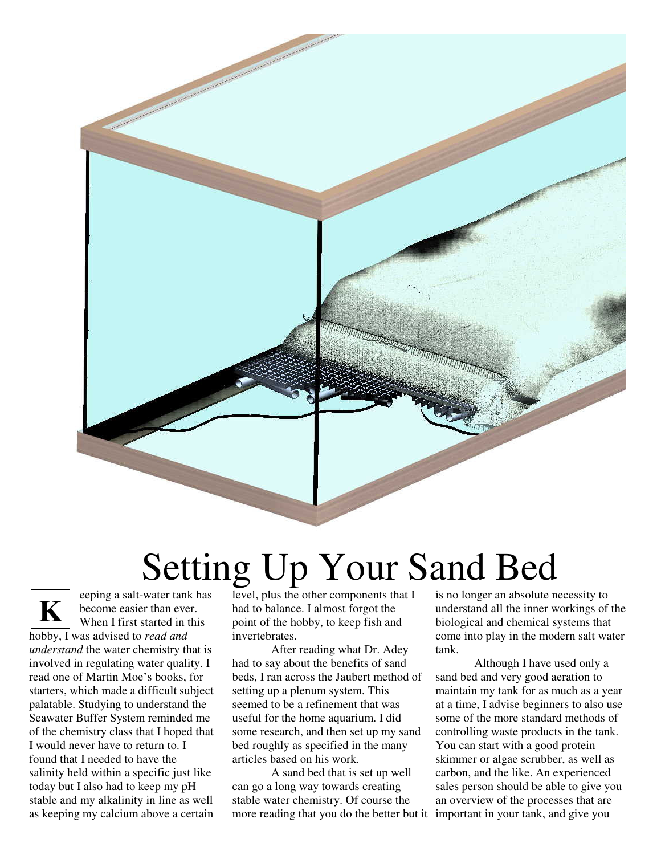

## Setting Up Your Sand Bed

eeping a salt-water tank has become easier than ever. When I first started in this hobby, I was advised to *read and understand* the water chemistry that is involved in regulating water quality. I read one of Martin Moe's books, for starters, which made a difficult subject palatable. Studying to understand the Seawater Buffer System reminded me of the chemistry class that I hoped that I would never have to return to. I found that I needed to have the salinity held within a specific just like today but I also had to keep my pH stable and my alkalinity in line as well as keeping my calcium above a certain **K**

level, plus the other components that I had to balance. I almost forgot the point of the hobby, to keep fish and invertebrates.

After reading what Dr. Adey had to say about the benefits of sand beds, I ran across the Jaubert method of setting up a plenum system. This seemed to be a refinement that was useful for the home aquarium. I did some research, and then set up my sand bed roughly as specified in the many articles based on his work.

A sand bed that is set up well can go a long way towards creating stable water chemistry. Of course the more reading that you do the better but it important in your tank, and give you

is no longer an absolute necessity to understand all the inner workings of the biological and chemical systems that come into play in the modern salt water tank.

Although I have used only a sand bed and very good aeration to maintain my tank for as much as a year at a time, I advise beginners to also use some of the more standard methods of controlling waste products in the tank. You can start with a good protein skimmer or algae scrubber, as well as carbon, and the like. An experienced sales person should be able to give you an overview of the processes that are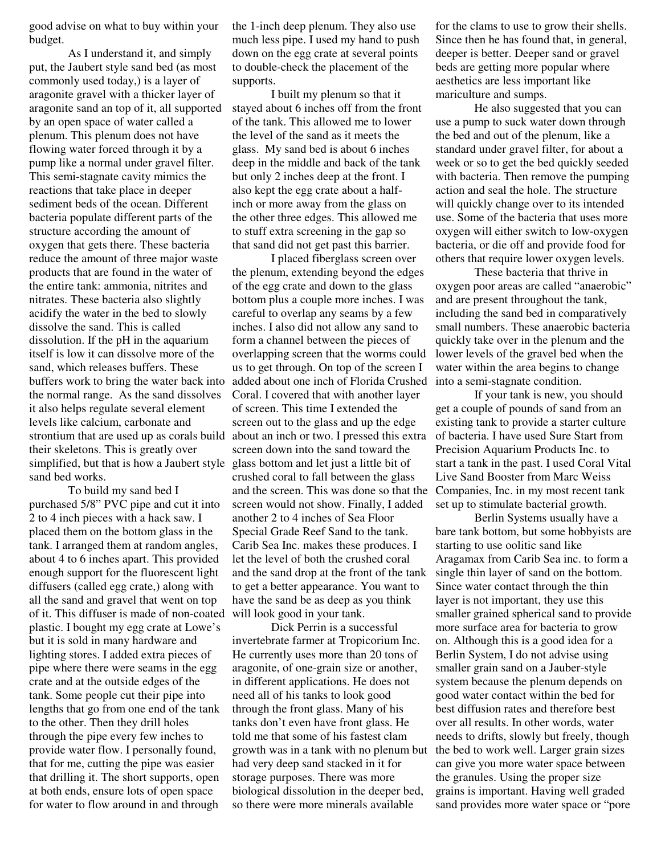good advise on what to buy within your budget.

As I understand it, and simply put, the Jaubert style sand bed (as most commonly used today,) is a layer of aragonite gravel with a thicker layer of aragonite sand an top of it, all supported by an open space of water called a plenum. This plenum does not have flowing water forced through it by a pump like a normal under gravel filter. This semi-stagnate cavity mimics the reactions that take place in deeper sediment beds of the ocean. Different bacteria populate different parts of the structure according the amount of oxygen that gets there. These bacteria reduce the amount of three major waste products that are found in the water of the entire tank: ammonia, nitrites and nitrates. These bacteria also slightly acidify the water in the bed to slowly dissolve the sand. This is called dissolution. If the pH in the aquarium itself is low it can dissolve more of the sand, which releases buffers. These buffers work to bring the water back into the normal range. As the sand dissolves it also helps regulate several element levels like calcium, carbonate and strontium that are used up as corals build about an inch or two. I pressed this extra their skeletons. This is greatly over simplified, but that is how a Jaubert style glass bottom and let just a little bit of sand bed works.

To build my sand bed I purchased 5/8" PVC pipe and cut it into 2 to 4 inch pieces with a hack saw. I placed them on the bottom glass in the tank. I arranged them at random angles, about 4 to 6 inches apart. This provided enough support for the fluorescent light diffusers (called egg crate,) along with all the sand and gravel that went on top of it. This diffuser is made of non-coated plastic. I bought my egg crate at Lowe's but it is sold in many hardware and lighting stores. I added extra pieces of pipe where there were seams in the egg crate and at the outside edges of the tank. Some people cut their pipe into lengths that go from one end of the tank to the other. Then they drill holes through the pipe every few inches to provide water flow. I personally found, that for me, cutting the pipe was easier that drilling it. The short supports, open at both ends, ensure lots of open space for water to flow around in and through

the 1-inch deep plenum. They also use much less pipe. I used my hand to push down on the egg crate at several points to double-check the placement of the supports.

I built my plenum so that it stayed about 6 inches off from the front of the tank. This allowed me to lower the level of the sand as it meets the glass. My sand bed is about 6 inches deep in the middle and back of the tank but only 2 inches deep at the front. I also kept the egg crate about a halfinch or more away from the glass on the other three edges. This allowed me to stuff extra screening in the gap so that sand did not get past this barrier.

I placed fiberglass screen over the plenum, extending beyond the edges of the egg crate and down to the glass bottom plus a couple more inches. I was careful to overlap any seams by a few inches. I also did not allow any sand to form a channel between the pieces of overlapping screen that the worms could us to get through. On top of the screen I added about one inch of Florida Crushed Coral. I covered that with another layer of screen. This time I extended the screen out to the glass and up the edge screen down into the sand toward the crushed coral to fall between the glass and the screen. This was done so that the screen would not show. Finally, I added another 2 to 4 inches of Sea Floor Special Grade Reef Sand to the tank. Carib Sea Inc. makes these produces. I let the level of both the crushed coral and the sand drop at the front of the tank to get a better appearance. You want to have the sand be as deep as you think will look good in your tank.

Dick Perrin is a successful invertebrate farmer at Tropicorium Inc. He currently uses more than 20 tons of aragonite, of one-grain size or another, in different applications. He does not need all of his tanks to look good through the front glass. Many of his tanks don't even have front glass. He told me that some of his fastest clam growth was in a tank with no plenum but had very deep sand stacked in it for storage purposes. There was more biological dissolution in the deeper bed, so there were more minerals available

for the clams to use to grow their shells. Since then he has found that, in general, deeper is better. Deeper sand or gravel beds are getting more popular where aesthetics are less important like mariculture and sumps.

He also suggested that you can use a pump to suck water down through the bed and out of the plenum, like a standard under gravel filter, for about a week or so to get the bed quickly seeded with bacteria. Then remove the pumping action and seal the hole. The structure will quickly change over to its intended use. Some of the bacteria that uses more oxygen will either switch to low-oxygen bacteria, or die off and provide food for others that require lower oxygen levels.

These bacteria that thrive in oxygen poor areas are called "anaerobic" and are present throughout the tank, including the sand bed in comparatively small numbers. These anaerobic bacteria quickly take over in the plenum and the lower levels of the gravel bed when the water within the area begins to change into a semi-stagnate condition.

If your tank is new, you should get a couple of pounds of sand from an existing tank to provide a starter culture of bacteria. I have used Sure Start from Precision Aquarium Products Inc. to start a tank in the past. I used Coral Vital Live Sand Booster from Marc Weiss Companies, Inc. in my most recent tank set up to stimulate bacterial growth.

Berlin Systems usually have a bare tank bottom, but some hobbyists are starting to use oolitic sand like Aragamax from Carib Sea inc. to form a single thin layer of sand on the bottom. Since water contact through the thin layer is not important, they use this smaller grained spherical sand to provide more surface area for bacteria to grow on. Although this is a good idea for a Berlin System, I do not advise using smaller grain sand on a Jauber-style system because the plenum depends on good water contact within the bed for best diffusion rates and therefore best over all results. In other words, water needs to drifts, slowly but freely, though the bed to work well. Larger grain sizes can give you more water space between the granules. Using the proper size grains is important. Having well graded sand provides more water space or "pore